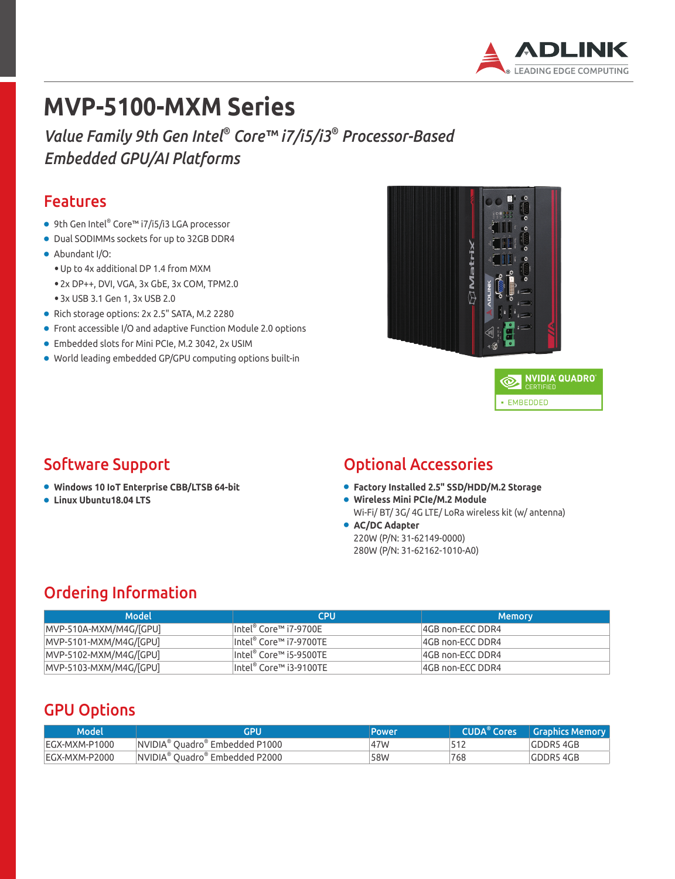

# **MVP-5100-MXM Series**

*Value Family 9th Gen Intel® Core™ i7/i5/i3® Processor-Based Embedded GPU/AI Platforms*

#### Features

- 9th Gen Intel® Core™ i7/i5/i3 LGA processor
- Dual SODIMMs sockets for up to 32GB DDR4
- Abundant I/O:
	- Up to 4x additional DP 1.4 from MXM
	- 2x DP++, DVI, VGA, 3x GbE, 3x COM, TPM2.0
	- 3x USB 3.1 Gen 1, 3x USB 2.0
- Rich storage options: 2x 2.5" SATA, M.2 2280
- Front accessible I/O and adaptive Function Module 2.0 options
- Embedded slots for Mini PCIe, M.2 3042, 2x USIM
- World leading embedded GP/GPU computing options built-in





### Software Support

- **Windows 10 IoT Enterprise CBB/LTSB 64-bit**
- **Linux Ubuntu18.04 LTS**

#### Optional Accessories

- **Factory Installed 2.5" SSD/HDD/M.2 Storage**
- **Wireless Mini PCIe/M.2 Module**
- Wi-Fi/ BT/ 3G/ 4G LTE/ LoRa wireless kit (w/ antenna)
- **AC/DC Adapter** 220W (P/N: 31-62149-0000) 280W (P/N: 31-62162-1010-A0)

### Ordering Information

| Model                    | <b>CPU</b>                 | <b>Memory</b>    |
|--------------------------|----------------------------|------------------|
| $MVP-510A-MXM/M4G/[GPU]$ | $ $ Intel® Core™ i7-9700E  | 4GB non-ECC DDR4 |
| MVP-5101-MXM/M4G/[GPU]   | Intel® Core™ i7-9700TE     | 4GB non-ECC DDR4 |
| MVP-5102-MXM/M4G/[GPU]   | $ $ Intel® Core™ i5-9500TE | 4GB non-ECC DDR4 |
| MVP-5103-MXM/M4G/[GPU]   | $ $ Intel® Core™ i3-9100TE | 4GB non-ECC DDR4 |

### GPU Options

| Model         | GPU                                        | Power | <b>CUDA</b> <sup>®</sup> Cores | Graphics Memory |
|---------------|--------------------------------------------|-------|--------------------------------|-----------------|
| EGX-MXM-P1000 | NVIDIA <sup>®</sup> Ouadro® Embedded P1000 | 47W   |                                | GDDR5 4GB       |
| EGX-MXM-P2000 | NVIDIA® Quadro® Embedded P2000             | 58W   | 768                            | GDDR5 4GB       |